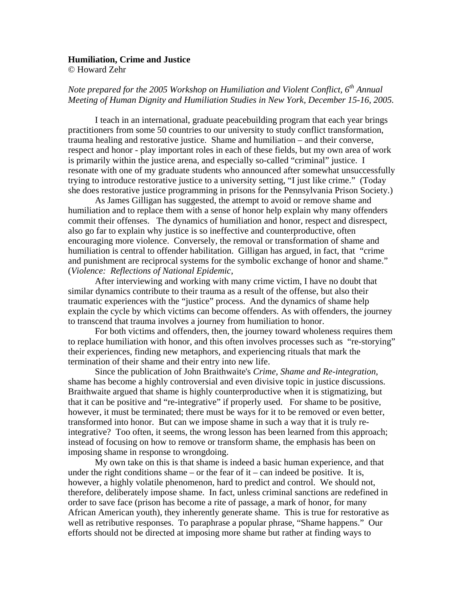## **Humiliation, Crime and Justice**

© Howard Zehr

## *Note prepared for the 2005 Workshop on Humiliation and Violent Conflict, 6th Annual Meeting of Human Dignity and Humiliation Studies in New York, December 15-16, 2005.*

 I teach in an international, graduate peacebuilding program that each year brings practitioners from some 50 countries to our university to study conflict transformation, trauma healing and restorative justice. Shame and humiliation – and their converse, respect and honor - play important roles in each of these fields, but my own area of work is primarily within the justice arena, and especially so-called "criminal" justice. I resonate with one of my graduate students who announced after somewhat unsuccessfully trying to introduce restorative justice to a university setting, "I just like crime." (Today she does restorative justice programming in prisons for the Pennsylvania Prison Society.)

 As James Gilligan has suggested, the attempt to avoid or remove shame and humiliation and to replace them with a sense of honor help explain why many offenders commit their offenses. The dynamics of humiliation and honor, respect and disrespect, also go far to explain why justice is so ineffective and counterproductive, often encouraging more violence. Conversely, the removal or transformation of shame and humiliation is central to offender habilitation. Gilligan has argued, in fact, that "crime and punishment are reciprocal systems for the symbolic exchange of honor and shame." (*Violence: Reflections of National Epidemic*,

 After interviewing and working with many crime victim, I have no doubt that similar dynamics contribute to their trauma as a result of the offense, but also their traumatic experiences with the "justice" process. And the dynamics of shame help explain the cycle by which victims can become offenders. As with offenders, the journey to transcend that trauma involves a journey from humiliation to honor.

 For both victims and offenders, then, the journey toward wholeness requires them to replace humiliation with honor, and this often involves processes such as "re-storying" their experiences, finding new metaphors, and experiencing rituals that mark the termination of their shame and their entry into new life.

 Since the publication of John Braithwaite's *Crime, Shame and Re-integration*, shame has become a highly controversial and even divisive topic in justice discussions. Braithwaite argued that shame is highly counterproductive when it is stigmatizing, but that it can be positive and "re-integrative" if properly used. For shame to be positive, however, it must be terminated; there must be ways for it to be removed or even better, transformed into honor. But can we impose shame in such a way that it is truly reintegrative? Too often, it seems, the wrong lesson has been learned from this approach; instead of focusing on how to remove or transform shame, the emphasis has been on imposing shame in response to wrongdoing.

 My own take on this is that shame is indeed a basic human experience, and that under the right conditions shame – or the fear of  $it$  – can indeed be positive. It is, however, a highly volatile phenomenon, hard to predict and control. We should not, therefore, deliberately impose shame. In fact, unless criminal sanctions are redefined in order to save face (prison has become a rite of passage, a mark of honor, for many African American youth), they inherently generate shame. This is true for restorative as well as retributive responses. To paraphrase a popular phrase, "Shame happens." Our efforts should not be directed at imposing more shame but rather at finding ways to